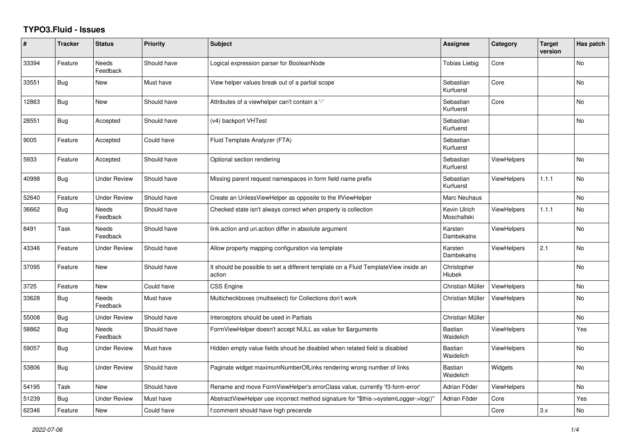## **TYPO3.Fluid - Issues**

| #     | <b>Tracker</b> | <b>Status</b>            | <b>Priority</b> | <b>Subject</b>                                                                                | Assignee                     | Category           | <b>Target</b><br>version | Has patch |
|-------|----------------|--------------------------|-----------------|-----------------------------------------------------------------------------------------------|------------------------------|--------------------|--------------------------|-----------|
| 33394 | Feature        | <b>Needs</b><br>Feedback | Should have     | Logical expression parser for BooleanNode                                                     | <b>Tobias Liebig</b>         | Core               |                          | <b>No</b> |
| 33551 | Bug            | New                      | Must have       | View helper values break out of a partial scope                                               | Sebastian<br>Kurfuerst       | Core               |                          | <b>No</b> |
| 12863 | Bug            | New                      | Should have     | Attributes of a viewhelper can't contain a '-'                                                | Sebastian<br>Kurfuerst       | Core               |                          | No        |
| 28551 | <b>Bug</b>     | Accepted                 | Should have     | (v4) backport VHTest                                                                          | Sebastian<br>Kurfuerst       |                    |                          | No        |
| 9005  | Feature        | Accepted                 | Could have      | Fluid Template Analyzer (FTA)                                                                 | Sebastian<br>Kurfuerst       |                    |                          |           |
| 5933  | Feature        | Accepted                 | Should have     | Optional section rendering                                                                    | Sebastian<br>Kurfuerst       | <b>ViewHelpers</b> |                          | <b>No</b> |
| 40998 | Bug            | <b>Under Review</b>      | Should have     | Missing parent request namespaces in form field name prefix                                   | Sebastian<br>Kurfuerst       | <b>ViewHelpers</b> | 1.1.1                    | <b>No</b> |
| 52640 | Feature        | <b>Under Review</b>      | Should have     | Create an UnlessViewHelper as opposite to the IfViewHelper                                    | Marc Neuhaus                 |                    |                          | <b>No</b> |
| 36662 | <b>Bug</b>     | Needs<br>Feedback        | Should have     | Checked state isn't always correct when property is collection                                | Kevin Ulrich<br>Moschallski  | <b>ViewHelpers</b> | 1.1.1                    | No        |
| 8491  | Task           | Needs<br>Feedback        | Should have     | link.action and uri.action differ in absolute argument                                        | Karsten<br>Dambekalns        | <b>ViewHelpers</b> |                          | <b>No</b> |
| 43346 | Feature        | <b>Under Review</b>      | Should have     | Allow property mapping configuration via template                                             | Karsten<br>Dambekalns        | <b>ViewHelpers</b> | 2.1                      | <b>No</b> |
| 37095 | Feature        | New                      | Should have     | It should be possible to set a different template on a Fluid TemplateView inside an<br>action | Christopher<br><b>Hlubek</b> |                    |                          | No        |
| 3725  | Feature        | New                      | Could have      | <b>CSS Engine</b>                                                                             | Christian Müller             | <b>ViewHelpers</b> |                          | No        |
| 33628 | <b>Bug</b>     | <b>Needs</b><br>Feedback | Must have       | Multicheckboxes (multiselect) for Collections don't work                                      | Christian Müller             | <b>ViewHelpers</b> |                          | <b>No</b> |
| 55008 | <b>Bug</b>     | <b>Under Review</b>      | Should have     | Interceptors should be used in Partials                                                       | Christian Müller             |                    |                          | No        |
| 58862 | Bug            | Needs<br>Feedback        | Should have     | FormViewHelper doesn't accept NULL as value for \$arguments                                   | <b>Bastian</b><br>Waidelich  | <b>ViewHelpers</b> |                          | Yes       |
| 59057 | Bug            | <b>Under Review</b>      | Must have       | Hidden empty value fields shoud be disabled when related field is disabled                    | <b>Bastian</b><br>Waidelich  | <b>ViewHelpers</b> |                          | <b>No</b> |
| 53806 | <b>Bug</b>     | <b>Under Review</b>      | Should have     | Paginate widget maximumNumberOfLinks rendering wrong number of links                          | Bastian<br>Waidelich         | Widgets            |                          | <b>No</b> |
| 54195 | Task           | <b>New</b>               | Should have     | Rename and move FormViewHelper's errorClass value, currently 'f3-form-error'                  | Adrian Föder                 | <b>ViewHelpers</b> |                          | No        |
| 51239 | Bug            | <b>Under Review</b>      | Must have       | AbstractViewHelper use incorrect method signature for "\$this->systemLogger->log()"           | Adrian Föder                 | Core               |                          | Yes       |
| 62346 | Feature        | New                      | Could have      | f:comment should have high precende                                                           |                              | Core               | 3.x                      | No        |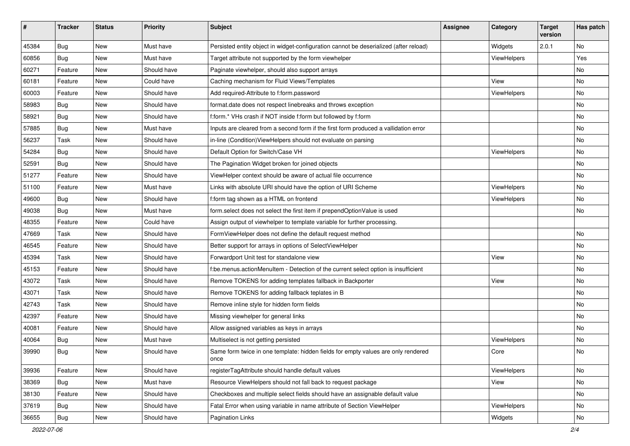| #     | <b>Tracker</b> | <b>Status</b> | <b>Priority</b> | <b>Subject</b>                                                                            | <b>Assignee</b> | Category    | <b>Target</b><br>version | Has patch |
|-------|----------------|---------------|-----------------|-------------------------------------------------------------------------------------------|-----------------|-------------|--------------------------|-----------|
| 45384 | Bug            | New           | Must have       | Persisted entity object in widget-configuration cannot be deserialized (after reload)     |                 | Widgets     | 2.0.1                    | No        |
| 60856 | <b>Bug</b>     | New           | Must have       | Target attribute not supported by the form viewhelper                                     |                 | ViewHelpers |                          | Yes       |
| 60271 | Feature        | New           | Should have     | Paginate viewhelper, should also support arrays                                           |                 |             |                          | No        |
| 60181 | Feature        | New           | Could have      | Caching mechanism for Fluid Views/Templates                                               |                 | View        |                          | No        |
| 60003 | Feature        | New           | Should have     | Add required-Attribute to f:form.password                                                 |                 | ViewHelpers |                          | No        |
| 58983 | Bug            | New           | Should have     | format.date does not respect linebreaks and throws exception                              |                 |             |                          | No.       |
| 58921 | <b>Bug</b>     | New           | Should have     | f:form.* VHs crash if NOT inside f:form but followed by f:form                            |                 |             |                          | No        |
| 57885 | <b>Bug</b>     | New           | Must have       | Inputs are cleared from a second form if the first form produced a vallidation error      |                 |             |                          | No        |
| 56237 | Task           | New           | Should have     | in-line (Condition) ViewHelpers should not evaluate on parsing                            |                 |             |                          | No        |
| 54284 | Bug            | New           | Should have     | Default Option for Switch/Case VH                                                         |                 | ViewHelpers |                          | No        |
| 52591 | <b>Bug</b>     | New           | Should have     | The Pagination Widget broken for joined objects                                           |                 |             |                          | No        |
| 51277 | Feature        | New           | Should have     | ViewHelper context should be aware of actual file occurrence                              |                 |             |                          | No        |
| 51100 | Feature        | New           | Must have       | Links with absolute URI should have the option of URI Scheme                              |                 | ViewHelpers |                          | No        |
| 49600 | Bug            | New           | Should have     | f:form tag shown as a HTML on frontend                                                    |                 | ViewHelpers |                          | No        |
| 49038 | Bug            | New           | Must have       | form.select does not select the first item if prependOptionValue is used                  |                 |             |                          | No        |
| 48355 | Feature        | New           | Could have      | Assign output of viewhelper to template variable for further processing.                  |                 |             |                          |           |
| 47669 | Task           | New           | Should have     | FormViewHelper does not define the default request method                                 |                 |             |                          | No        |
| 46545 | Feature        | New           | Should have     | Better support for arrays in options of SelectViewHelper                                  |                 |             |                          | No        |
| 45394 | Task           | <b>New</b>    | Should have     | Forwardport Unit test for standalone view                                                 |                 | View        |                          | No        |
| 45153 | Feature        | New           | Should have     | f:be.menus.actionMenuItem - Detection of the current select option is insufficient        |                 |             |                          | No        |
| 43072 | Task           | New           | Should have     | Remove TOKENS for adding templates fallback in Backporter                                 |                 | View        |                          | No.       |
| 43071 | Task           | New           | Should have     | Remove TOKENS for adding fallback teplates in B                                           |                 |             |                          | No        |
| 42743 | Task           | New           | Should have     | Remove inline style for hidden form fields                                                |                 |             |                          | No        |
| 42397 | Feature        | New           | Should have     | Missing viewhelper for general links                                                      |                 |             |                          | No.       |
| 40081 | Feature        | New           | Should have     | Allow assigned variables as keys in arrays                                                |                 |             |                          | No        |
| 40064 | Bug            | New           | Must have       | Multiselect is not getting persisted                                                      |                 | ViewHelpers |                          | No        |
| 39990 | Bug            | New           | Should have     | Same form twice in one template: hidden fields for empty values are only rendered<br>once |                 | Core        |                          | No        |
| 39936 | Feature        | New           | Should have     | registerTagAttribute should handle default values                                         |                 | ViewHelpers |                          | No        |
| 38369 | Bug            | New           | Must have       | Resource ViewHelpers should not fall back to request package                              |                 | View        |                          | No        |
| 38130 | Feature        | New           | Should have     | Checkboxes and multiple select fields should have an assignable default value             |                 |             |                          | No        |
| 37619 | Bug            | New           | Should have     | Fatal Error when using variable in name attribute of Section ViewHelper                   |                 | ViewHelpers |                          | No        |
| 36655 | <b>Bug</b>     | New           | Should have     | Pagination Links                                                                          |                 | Widgets     |                          | No        |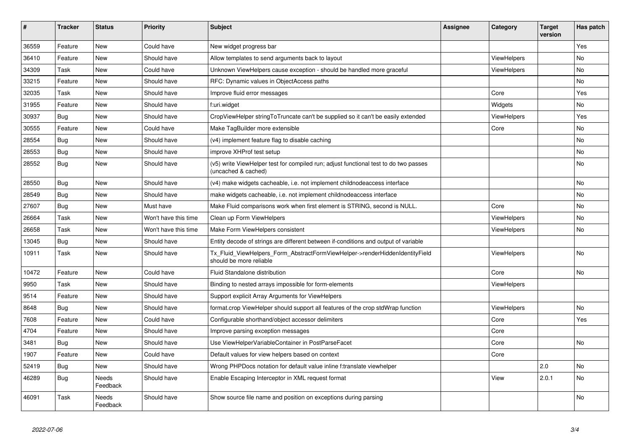| $\vert$ # | <b>Tracker</b> | <b>Status</b>     | <b>Priority</b>      | <b>Subject</b>                                                                                              | Assignee | Category           | <b>Target</b><br>version | Has patch |
|-----------|----------------|-------------------|----------------------|-------------------------------------------------------------------------------------------------------------|----------|--------------------|--------------------------|-----------|
| 36559     | Feature        | <b>New</b>        | Could have           | New widget progress bar                                                                                     |          |                    |                          | Yes       |
| 36410     | Feature        | New               | Should have          | Allow templates to send arguments back to layout                                                            |          | <b>ViewHelpers</b> |                          | <b>No</b> |
| 34309     | Task           | New               | Could have           | Unknown ViewHelpers cause exception - should be handled more graceful                                       |          | ViewHelpers        |                          | <b>No</b> |
| 33215     | Feature        | New               | Should have          | RFC: Dynamic values in ObjectAccess paths                                                                   |          |                    |                          | No        |
| 32035     | Task           | New               | Should have          | Improve fluid error messages                                                                                |          | Core               |                          | Yes.      |
| 31955     | Feature        | New               | Should have          | f:uri.widget                                                                                                |          | Widgets            |                          | No        |
| 30937     | Bug            | New               | Should have          | CropViewHelper stringToTruncate can't be supplied so it can't be easily extended                            |          | <b>ViewHelpers</b> |                          | Yes       |
| 30555     | Feature        | New               | Could have           | Make TagBuilder more extensible                                                                             |          | Core               |                          | No        |
| 28554     | Bug            | New               | Should have          | (v4) implement feature flag to disable caching                                                              |          |                    |                          | <b>No</b> |
| 28553     | Bug            | New               | Should have          | improve XHProf test setup                                                                                   |          |                    |                          | No        |
| 28552     | Bug            | New               | Should have          | (v5) write ViewHelper test for compiled run; adjust functional test to do two passes<br>(uncached & cached) |          |                    |                          | <b>No</b> |
| 28550     | <b>Bug</b>     | New               | Should have          | (v4) make widgets cacheable, i.e. not implement childnodeaccess interface                                   |          |                    |                          | <b>No</b> |
| 28549     | Bug            | <b>New</b>        | Should have          | make widgets cacheable, i.e. not implement childnodeaccess interface                                        |          |                    |                          | <b>No</b> |
| 27607     | Bug            | New               | Must have            | Make Fluid comparisons work when first element is STRING, second is NULL.                                   |          | Core               |                          | <b>No</b> |
| 26664     | Task           | <b>New</b>        | Won't have this time | Clean up Form ViewHelpers                                                                                   |          | <b>ViewHelpers</b> |                          | <b>No</b> |
| 26658     | Task           | New               | Won't have this time | Make Form ViewHelpers consistent                                                                            |          | <b>ViewHelpers</b> |                          | No        |
| 13045     | Bug            | <b>New</b>        | Should have          | Entity decode of strings are different between if-conditions and output of variable                         |          |                    |                          |           |
| 10911     | Task           | <b>New</b>        | Should have          | Tx Fluid ViewHelpers Form AbstractFormViewHelper->renderHiddenIdentityField<br>should be more reliable      |          | <b>ViewHelpers</b> |                          | <b>No</b> |
| 10472     | Feature        | New               | Could have           | Fluid Standalone distribution                                                                               |          | Core               |                          | No        |
| 9950      | Task           | <b>New</b>        | Should have          | Binding to nested arrays impossible for form-elements                                                       |          | ViewHelpers        |                          |           |
| 9514      | Feature        | <b>New</b>        | Should have          | Support explicit Array Arguments for ViewHelpers                                                            |          |                    |                          |           |
| 8648      | Bug            | <b>New</b>        | Should have          | format.crop ViewHelper should support all features of the crop stdWrap function                             |          | <b>ViewHelpers</b> |                          | <b>No</b> |
| 7608      | Feature        | New               | Could have           | Configurable shorthand/object accessor delimiters                                                           |          | Core               |                          | Yes       |
| 4704      | Feature        | <b>New</b>        | Should have          | Improve parsing exception messages                                                                          |          | Core               |                          |           |
| 3481      | Bug            | <b>New</b>        | Should have          | Use ViewHelperVariableContainer in PostParseFacet                                                           |          | Core               |                          | No        |
| 1907      | Feature        | <b>New</b>        | Could have           | Default values for view helpers based on context                                                            |          | Core               |                          |           |
| 52419     | <b>Bug</b>     | New               | Should have          | Wrong PHPDocs notation for default value inline f:translate viewhelper                                      |          |                    | 2.0                      | <b>No</b> |
| 46289     | Bug            | Needs<br>Feedback | Should have          | Enable Escaping Interceptor in XML request format                                                           |          | View               | 2.0.1                    | <b>No</b> |
| 46091     | Task           | Needs<br>Feedback | Should have          | Show source file name and position on exceptions during parsing                                             |          |                    |                          | <b>No</b> |